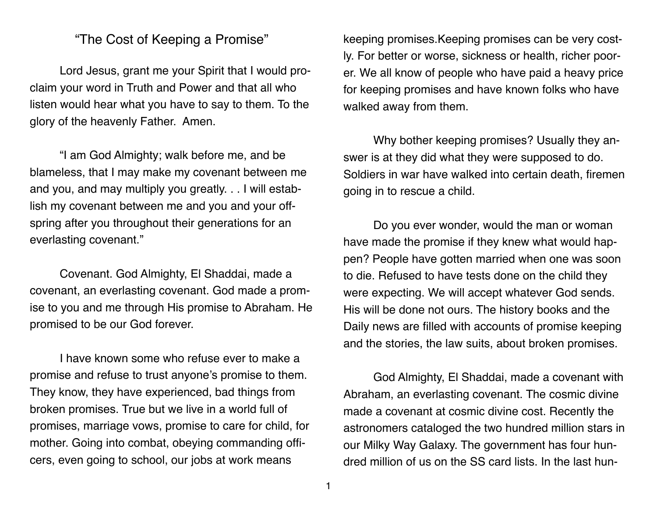## "The Cost of Keeping a Promise"

Lord Jesus, grant me your Spirit that I would proclaim your word in Truth and Power and that all who listen would hear what you have to say to them. To the glory of the heavenly Father. Amen.

"I am God Almighty; walk before me, and be blameless, that I may make my covenant between me and you, and may multiply you greatly. . . I will establish my covenant between me and you and your offspring after you throughout their generations for an everlasting covenant."

Covenant. God Almighty, El Shaddai, made a covenant, an everlasting covenant. God made a promise to you and me through His promise to Abraham. He promised to be our God forever.

I have known some who refuse ever to make a promise and refuse to trust anyone's promise to them. They know, they have experienced, bad things from broken promises. True but we live in a world full of promises, marriage vows, promise to care for child, for mother. Going into combat, obeying commanding officers, even going to school, our jobs at work means

keeping promises.Keeping promises can be very costly. For better or worse, sickness or health, richer poorer. We all know of people who have paid a heavy price for keeping promises and have known folks who have walked away from them.

Why bother keeping promises? Usually they answer is at they did what they were supposed to do. Soldiers in war have walked into certain death, firemen going in to rescue a child.

Do you ever wonder, would the man or woman have made the promise if they knew what would happen? People have gotten married when one was soon to die. Refused to have tests done on the child they were expecting. We will accept whatever God sends. His will be done not ours. The history books and the Daily news are filled with accounts of promise keeping and the stories, the law suits, about broken promises.

God Almighty, El Shaddai, made a covenant with Abraham, an everlasting covenant. The cosmic divine made a covenant at cosmic divine cost. Recently the astronomers cataloged the two hundred million stars in our Milky Way Galaxy. The government has four hundred million of us on the SS card lists. In the last hun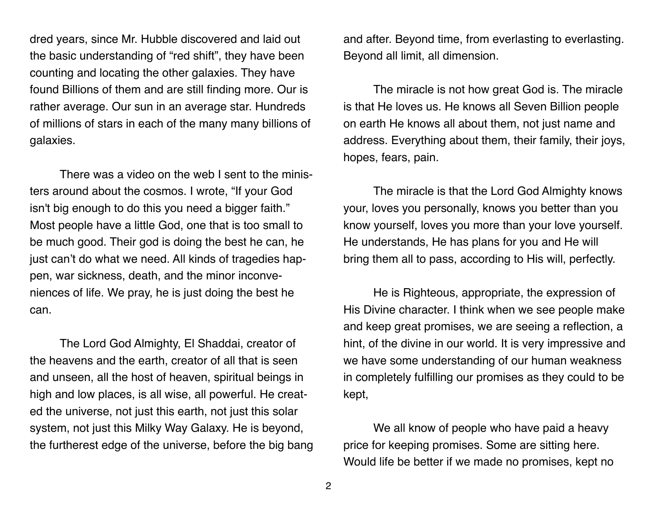dred years, since Mr. Hubble discovered and laid out the basic understanding of "red shift", they have been counting and locating the other galaxies. They have found Billions of them and are still finding more. Our is rather average. Our sun in an average star. Hundreds of millions of stars in each of the many many billions of galaxies.

There was a video on the web I sent to the ministers around about the cosmos. I wrote, "If your God isn't big enough to do this you need a bigger faith." Most people have a little God, one that is too small to be much good. Their god is doing the best he can, he just can't do what we need. All kinds of tragedies happen, war sickness, death, and the minor inconveniences of life. We pray, he is just doing the best he can.

The Lord God Almighty, El Shaddai, creator of the heavens and the earth, creator of all that is seen and unseen, all the host of heaven, spiritual beings in high and low places, is all wise, all powerful. He created the universe, not just this earth, not just this solar system, not just this Milky Way Galaxy. He is beyond, the furtherest edge of the universe, before the big bang and after. Beyond time, from everlasting to everlasting. Beyond all limit, all dimension.

The miracle is not how great God is. The miracle is that He loves us. He knows all Seven Billion people on earth He knows all about them, not just name and address. Everything about them, their family, their joys, hopes, fears, pain.

The miracle is that the Lord God Almighty knows your, loves you personally, knows you better than you know yourself, loves you more than your love yourself. He understands, He has plans for you and He will bring them all to pass, according to His will, perfectly.

He is Righteous, appropriate, the expression of His Divine character. I think when we see people make and keep great promises, we are seeing a reflection, a hint, of the divine in our world. It is very impressive and we have some understanding of our human weakness in completely fulfilling our promises as they could to be kept,

We all know of people who have paid a heavy price for keeping promises. Some are sitting here. Would life be better if we made no promises, kept no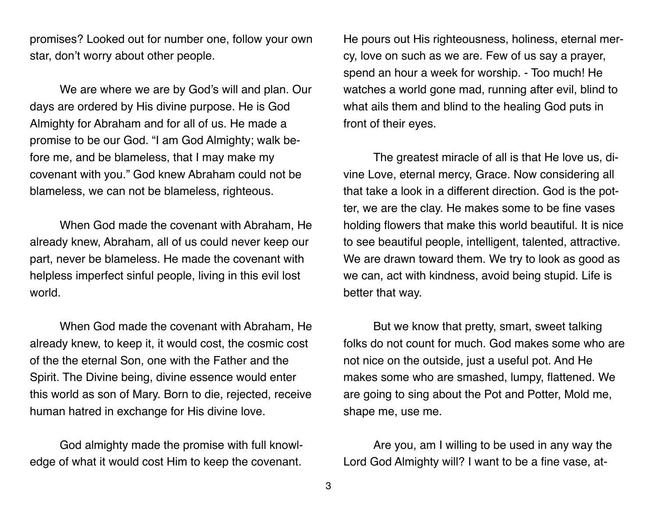promises? Looked out for number one, follow your own star, don't worry about other people.

We are where we are by God's will and plan. Our days are ordered by His divine purpose. He is God Almighty for Abraham and for all of us. He made a promise to be our God. "I am God Almighty; walk before me, and be blameless, that I may make my covenant with you." God knew Abraham could not be blameless, we can not be blameless, righteous.

When God made the covenant with Abraham, He already knew, Abraham, all of us could never keep our part, never be blameless. He made the covenant with helpless imperfect sinful people, living in this evil lost world.

When God made the covenant with Abraham, He already knew, to keep it, it would cost, the cosmic cost of the the eternal Son, one with the Father and the Spirit. The Divine being, divine essence would enter this world as son of Mary. Born to die, rejected, receive human hatred in exchange for His divine love.

God almighty made the promise with full knowledge of what it would cost Him to keep the covenant.

He pours out His righteousness, holiness, eternal mercy, love on such as we are. Few of us say a prayer, spend an hour a week for worship. - Too much! He watches a world gone mad, running after evil, blind to what ails them and blind to the healing God puts in front of their eyes.

The greatest miracle of all is that He love us, divine Love, eternal mercy, Grace. Now considering all that take a look in a different direction. God is the potter, we are the clay. He makes some to be fine vases holding flowers that make this world beautiful. It is nice to see beautiful people, intelligent, talented, attractive. We are drawn toward them. We try to look as good as we can, act with kindness, avoid being stupid. Life is better that way.

But we know that pretty, smart, sweet talking folks do not count for much. God makes some who are not nice on the outside, just a useful pot. And He makes some who are smashed, lumpy, flattened. We are going to sing about the Pot and Potter, Mold me, shape me, use me.

Are you, am I willing to be used in any way the Lord God Almighty will? I want to be a fine vase, at